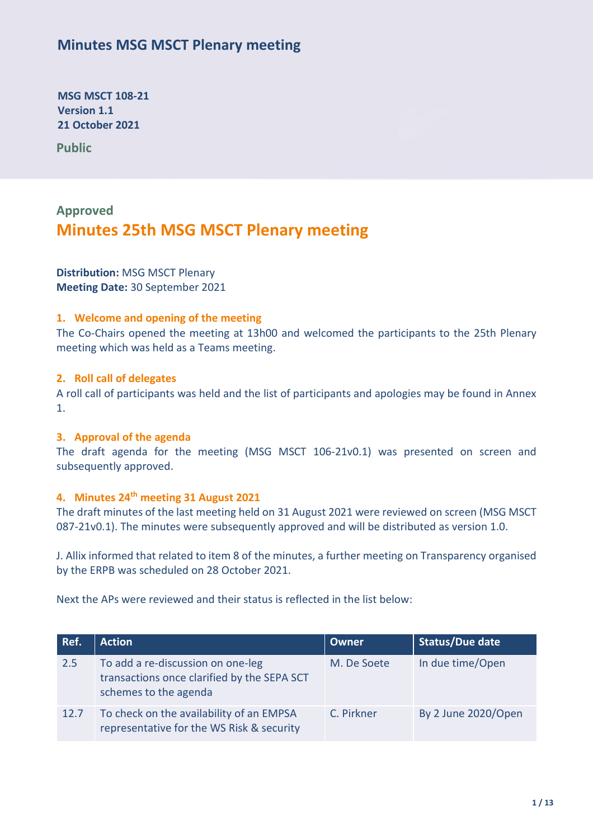## **Minutes MSG MSCT Plenary meeting**

**MSG MSCT 108-21 Version 1.1 21 October 2021** 

**Public 202120212021anuar y 2021**

# **Approved Minutes 25th MSG MSCT Plenary meeting**

**Distribution:** MSG MSCT Plenary **Meeting Date:** 30 September 2021

## **1. Welcome and opening of the meeting**

The Co-Chairs opened the meeting at 13h00 and welcomed the participants to the 25th Plenary meeting which was held as a Teams meeting.

### **2. Roll call of delegates**

A roll call of participants was held and the list of participants and apologies may be found in Annex 1.

### **3. Approval of the agenda**

The draft agenda for the meeting (MSG MSCT 106-21v0.1) was presented on screen and subsequently approved.

## **4. Minutes 24 th meeting 31 August 2021**

The draft minutes of the last meeting held on 31 August 2021 were reviewed on screen (MSG MSCT 087-21v0.1). The minutes were subsequently approved and will be distributed as version 1.0.

J. Allix informed that related to item 8 of the minutes, a further meeting on Transparency organised by the ERPB was scheduled on 28 October 2021.

Next the APs were reviewed and their status is reflected in the list below:

| Ref. | <b>Action</b>                                                                                             | <b>Owner</b> | <b>Status/Due date</b> |
|------|-----------------------------------------------------------------------------------------------------------|--------------|------------------------|
| 2.5  | To add a re-discussion on one-leg<br>transactions once clarified by the SEPA SCT<br>schemes to the agenda | M. De Soete  | In due time/Open       |
| 12.7 | To check on the availability of an EMPSA<br>representative for the WS Risk & security                     | C. Pirkner   | By 2 June 2020/Open    |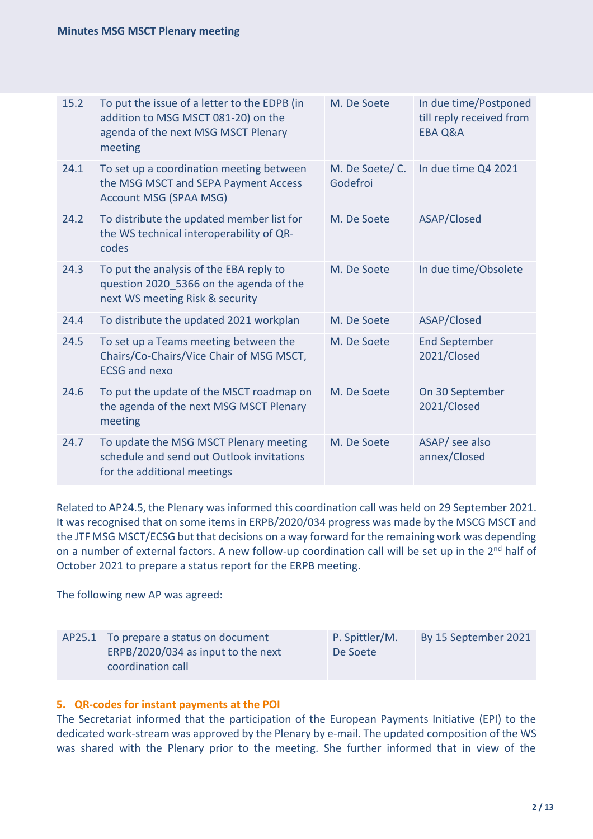| 15.2 | To put the issue of a letter to the EDPB (in<br>addition to MSG MSCT 081-20) on the<br>agenda of the next MSG MSCT Plenary<br>meeting | M. De Soete                | In due time/Postponed<br>till reply received from<br><b>EBA Q&amp;A</b> |
|------|---------------------------------------------------------------------------------------------------------------------------------------|----------------------------|-------------------------------------------------------------------------|
| 24.1 | To set up a coordination meeting between<br>the MSG MSCT and SEPA Payment Access<br><b>Account MSG (SPAA MSG)</b>                     | M. De Soete/C.<br>Godefroi | In due time Q4 2021                                                     |
| 24.2 | To distribute the updated member list for<br>the WS technical interoperability of QR-<br>codes                                        | M. De Soete                | ASAP/Closed                                                             |
| 24.3 | To put the analysis of the EBA reply to<br>question 2020_5366 on the agenda of the<br>next WS meeting Risk & security                 | M. De Soete                | In due time/Obsolete                                                    |
| 24.4 | To distribute the updated 2021 workplan                                                                                               | M. De Soete                | ASAP/Closed                                                             |
| 24.5 | To set up a Teams meeting between the<br>Chairs/Co-Chairs/Vice Chair of MSG MSCT,<br><b>ECSG and nexo</b>                             | M. De Soete                | <b>End September</b><br>2021/Closed                                     |
| 24.6 | To put the update of the MSCT roadmap on<br>the agenda of the next MSG MSCT Plenary<br>meeting                                        | M. De Soete                | On 30 September<br>2021/Closed                                          |
| 24.7 | To update the MSG MSCT Plenary meeting<br>schedule and send out Outlook invitations<br>for the additional meetings                    | M. De Soete                | ASAP/ see also<br>annex/Closed                                          |

Related to AP24.5, the Plenary was informed this coordination call was held on 29 September 2021. It was recognised that on some items in ERPB/2020/034 progress was made by the MSCG MSCT and the JTF MSG MSCT/ECSG but that decisions on a way forward for the remaining work was depending on a number of external factors. A new follow-up coordination call will be set up in the 2<sup>nd</sup> half of October 2021 to prepare a status report for the ERPB meeting.

The following new AP was agreed:

| AP25.1 To prepare a status on document | P. Spittler/M. | By 15 September 2021 |
|----------------------------------------|----------------|----------------------|
| ERPB/2020/034 as input to the next     | De Soete       |                      |
| coordination call                      |                |                      |

## **5. QR-codes for instant payments at the POI**

The Secretariat informed that the participation of the European Payments Initiative (EPI) to the dedicated work-stream was approved by the Plenary by e-mail. The updated composition of the WS was shared with the Plenary prior to the meeting. She further informed that in view of the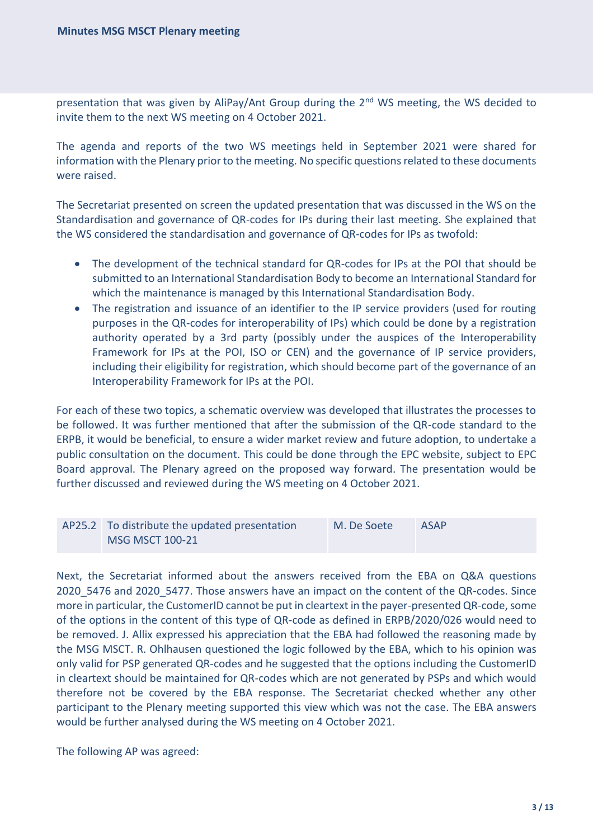presentation that was given by AliPay/Ant Group during the 2<sup>nd</sup> WS meeting, the WS decided to invite them to the next WS meeting on 4 October 2021.

The agenda and reports of the two WS meetings held in September 2021 were shared for information with the Plenary prior to the meeting. No specific questions related to these documents were raised.

The Secretariat presented on screen the updated presentation that was discussed in the WS on the Standardisation and governance of QR-codes for IPs during their last meeting. She explained that the WS considered the standardisation and governance of QR-codes for IPs as twofold:

- The development of the technical standard for QR-codes for IPs at the POI that should be submitted to an International Standardisation Body to become an International Standard for which the maintenance is managed by this International Standardisation Body.
- The registration and issuance of an identifier to the IP service providers (used for routing purposes in the QR-codes for interoperability of IPs) which could be done by a registration authority operated by a 3rd party (possibly under the auspices of the Interoperability Framework for IPs at the POI, ISO or CEN) and the governance of IP service providers, including their eligibility for registration, which should become part of the governance of an Interoperability Framework for IPs at the POI.

For each of these two topics, a schematic overview was developed that illustrates the processes to be followed. It was further mentioned that after the submission of the QR-code standard to the ERPB, it would be beneficial, to ensure a wider market review and future adoption, to undertake a public consultation on the document. This could be done through the EPC website, subject to EPC Board approval. The Plenary agreed on the proposed way forward. The presentation would be further discussed and reviewed during the WS meeting on 4 October 2021.

| AP25.2 To distribute the updated presentation | M. De Soete | <b>ASAP</b> |
|-----------------------------------------------|-------------|-------------|
| <b>MSG MSCT 100-21</b>                        |             |             |

Next, the Secretariat informed about the answers received from the EBA on Q&A questions 2020 5476 and 2020 5477. Those answers have an impact on the content of the QR-codes. Since more in particular, the CustomerID cannot be put in cleartext in the payer-presented QR-code, some of the options in the content of this type of QR-code as defined in ERPB/2020/026 would need to be removed. J. Allix expressed his appreciation that the EBA had followed the reasoning made by the MSG MSCT. R. Ohlhausen questioned the logic followed by the EBA, which to his opinion was only valid for PSP generated QR-codes and he suggested that the options including the CustomerID in cleartext should be maintained for QR-codes which are not generated by PSPs and which would therefore not be covered by the EBA response. The Secretariat checked whether any other participant to the Plenary meeting supported this view which was not the case. The EBA answers would be further analysed during the WS meeting on 4 October 2021.

The following AP was agreed: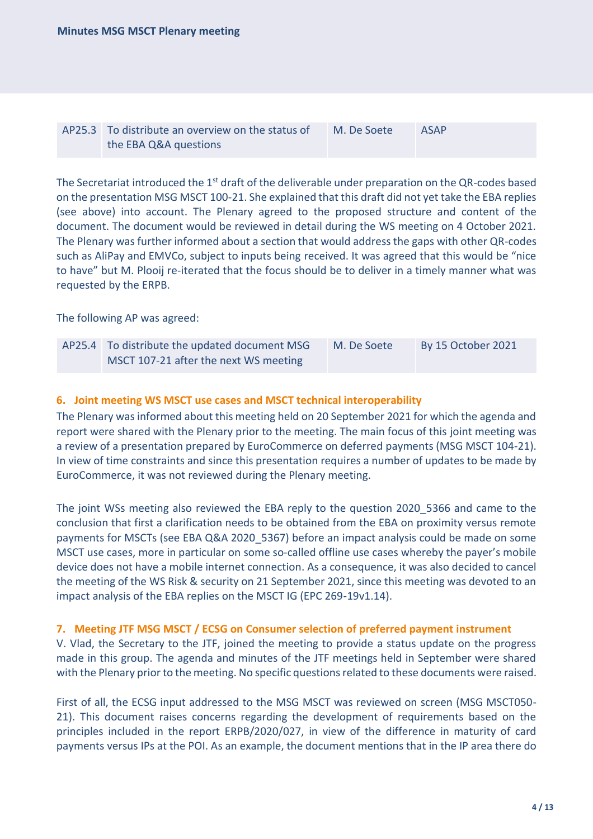| AP25.3 To distribute an overview on the status of | M. De Soete | <b>ASAP</b> |
|---------------------------------------------------|-------------|-------------|
| the EBA Q&A questions                             |             |             |

The Secretariat introduced the 1<sup>st</sup> draft of the deliverable under preparation on the QR-codes based on the presentation MSG MSCT 100-21. She explained that this draft did not yet take the EBA replies (see above) into account. The Plenary agreed to the proposed structure and content of the document. The document would be reviewed in detail during the WS meeting on 4 October 2021. The Plenary was further informed about a section that would address the gaps with other QR-codes such as AliPay and EMVCo, subject to inputs being received. It was agreed that this would be "nice to have" but M. Plooij re-iterated that the focus should be to deliver in a timely manner what was requested by the ERPB.

The following AP was agreed:

| AP25.4 To distribute the updated document MSG | M. De Soete | By 15 October 2021 |
|-----------------------------------------------|-------------|--------------------|
| MSCT 107-21 after the next WS meeting         |             |                    |

#### **6. Joint meeting WS MSCT use cases and MSCT technical interoperability**

The Plenary was informed about this meeting held on 20 September 2021 for which the agenda and report were shared with the Plenary prior to the meeting. The main focus of this joint meeting was a review of a presentation prepared by EuroCommerce on deferred payments (MSG MSCT 104-21). In view of time constraints and since this presentation requires a number of updates to be made by EuroCommerce, it was not reviewed during the Plenary meeting.

The joint WSs meeting also reviewed the EBA reply to the question 2020\_5366 and came to the conclusion that first a clarification needs to be obtained from the EBA on proximity versus remote payments for MSCTs (see EBA Q&A 2020\_5367) before an impact analysis could be made on some MSCT use cases, more in particular on some so-called offline use cases whereby the payer's mobile device does not have a mobile internet connection. As a consequence, it was also decided to cancel the meeting of the WS Risk & security on 21 September 2021, since this meeting was devoted to an impact analysis of the EBA replies on the MSCT IG (EPC 269-19v1.14).

#### **7. Meeting JTF MSG MSCT / ECSG on Consumer selection of preferred payment instrument**

V. Vlad, the Secretary to the JTF, joined the meeting to provide a status update on the progress made in this group. The agenda and minutes of the JTF meetings held in September were shared with the Plenary prior to the meeting. No specific questions related to these documents were raised.

First of all, the ECSG input addressed to the MSG MSCT was reviewed on screen (MSG MSCT050- 21). This document raises concerns regarding the development of requirements based on the principles included in the report ERPB/2020/027, in view of the difference in maturity of card payments versus IPs at the POI. As an example, the document mentions that in the IP area there do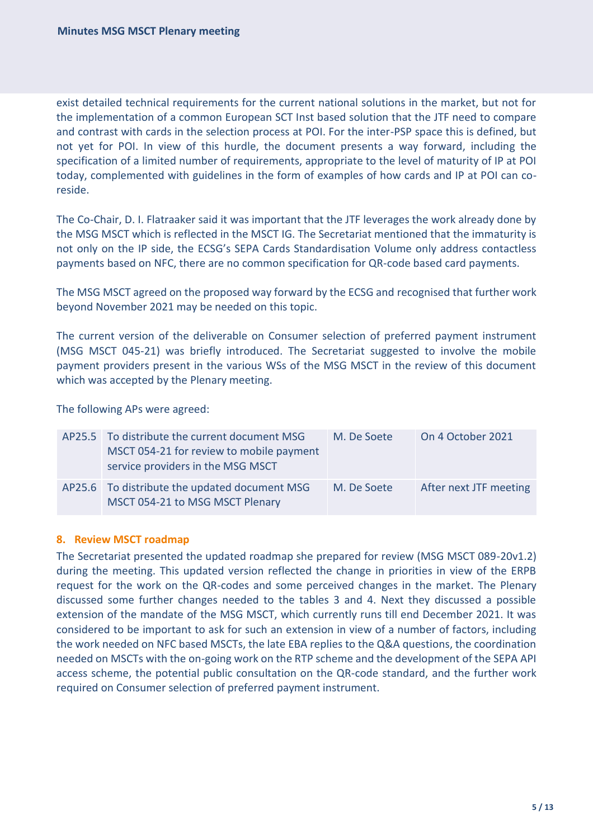exist detailed technical requirements for the current national solutions in the market, but not for the implementation of a common European SCT Inst based solution that the JTF need to compare and contrast with cards in the selection process at POI. For the inter-PSP space this is defined, but not yet for POI. In view of this hurdle, the document presents a way forward, including the specification of a limited number of requirements, appropriate to the level of maturity of IP at POI today, complemented with guidelines in the form of examples of how cards and IP at POI can coreside.

The Co-Chair, D. I. Flatraaker said it was important that the JTF leverages the work already done by the MSG MSCT which is reflected in the MSCT IG. The Secretariat mentioned that the immaturity is not only on the IP side, the ECSG's SEPA Cards Standardisation Volume only address contactless payments based on NFC, there are no common specification for QR-code based card payments.

The MSG MSCT agreed on the proposed way forward by the ECSG and recognised that further work beyond November 2021 may be needed on this topic.

The current version of the deliverable on Consumer selection of preferred payment instrument (MSG MSCT 045-21) was briefly introduced. The Secretariat suggested to involve the mobile payment providers present in the various WSs of the MSG MSCT in the review of this document which was accepted by the Plenary meeting.

The following APs were agreed:

| AP25.5 To distribute the current document MSG<br>MSCT 054-21 for review to mobile payment<br>service providers in the MSG MSCT | M. De Soete | On 4 October 2021      |
|--------------------------------------------------------------------------------------------------------------------------------|-------------|------------------------|
| AP25.6 To distribute the updated document MSG<br>MSCT 054-21 to MSG MSCT Plenary                                               | M. De Soete | After next JTF meeting |

### **8. Review MSCT roadmap**

The Secretariat presented the updated roadmap she prepared for review (MSG MSCT 089-20v1.2) during the meeting. This updated version reflected the change in priorities in view of the ERPB request for the work on the QR-codes and some perceived changes in the market. The Plenary discussed some further changes needed to the tables 3 and 4. Next they discussed a possible extension of the mandate of the MSG MSCT, which currently runs till end December 2021. It was considered to be important to ask for such an extension in view of a number of factors, including the work needed on NFC based MSCTs, the late EBA replies to the Q&A questions, the coordination needed on MSCTs with the on-going work on the RTP scheme and the development of the SEPA API access scheme, the potential public consultation on the QR-code standard, and the further work required on Consumer selection of preferred payment instrument.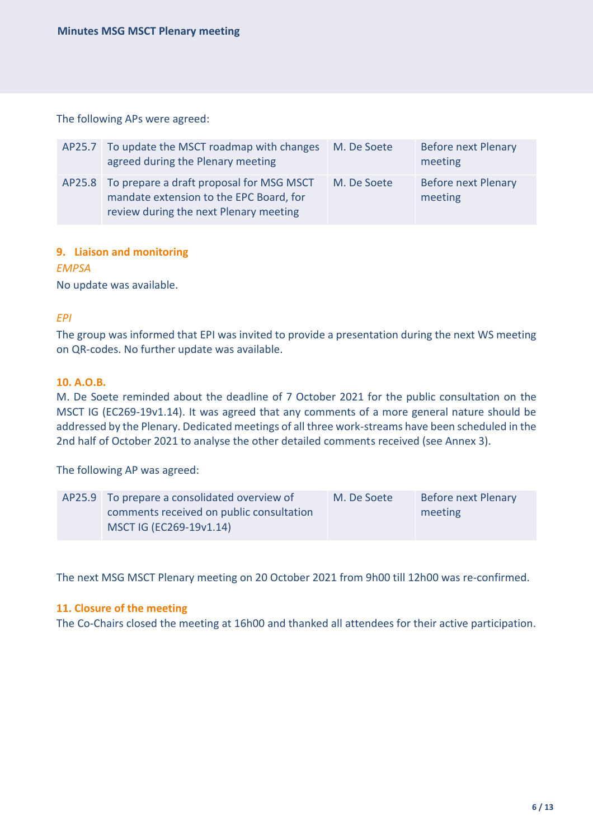The following APs were agreed:

| AP25.7 To update the MSCT roadmap with changes<br>agreed during the Plenary meeting                                                  | M. De Soete | <b>Before next Plenary</b><br>meeting |
|--------------------------------------------------------------------------------------------------------------------------------------|-------------|---------------------------------------|
| AP25.8 To prepare a draft proposal for MSG MSCT<br>mandate extension to the EPC Board, for<br>review during the next Plenary meeting | M. De Soete | <b>Before next Plenary</b><br>meeting |

## **9. Liaison and monitoring**

*EMPSA* No update was available.

## *EPI*

The group was informed that EPI was invited to provide a presentation during the next WS meeting on QR-codes. No further update was available.

### **10. A.O.B.**

M. De Soete reminded about the deadline of 7 October 2021 for the public consultation on the MSCT IG (EC269-19v1.14). It was agreed that any comments of a more general nature should be addressed by the Plenary. Dedicated meetings of all three work-streams have been scheduled in the 2nd half of October 2021 to analyse the other detailed comments received (see Annex 3).

The following AP was agreed:

| AP25.9 To prepare a consolidated overview of | M. De Soete | Before next Plenary |
|----------------------------------------------|-------------|---------------------|
| comments received on public consultation     |             | meeting             |
| MSCT IG (EC269-19v1.14)                      |             |                     |

The next MSG MSCT Plenary meeting on 20 October 2021 from 9h00 till 12h00 was re-confirmed.

### **11. Closure of the meeting**

The Co-Chairs closed the meeting at 16h00 and thanked all attendees for their active participation.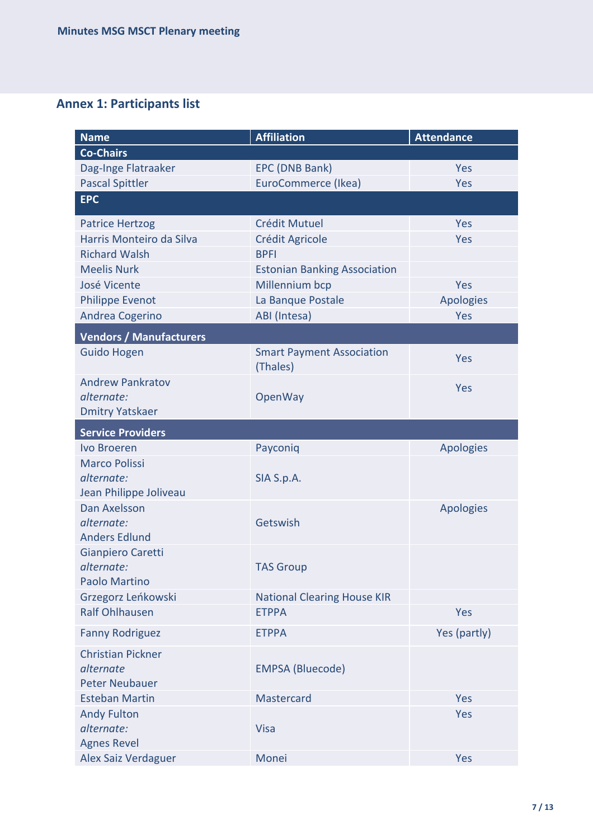## **Annex 1: Participants list**

| <b>Name</b>                    | <b>Affiliation</b>                           | <b>Attendance</b> |
|--------------------------------|----------------------------------------------|-------------------|
| <b>Co-Chairs</b>               |                                              |                   |
| Dag-Inge Flatraaker            | EPC (DNB Bank)                               | Yes               |
| <b>Pascal Spittler</b>         | EuroCommerce (Ikea)                          | Yes               |
| <b>EPC</b>                     |                                              |                   |
| <b>Patrice Hertzog</b>         | <b>Crédit Mutuel</b>                         | Yes               |
| Harris Monteiro da Silva       | Crédit Agricole                              | Yes               |
| <b>Richard Walsh</b>           | <b>BPFI</b>                                  |                   |
| <b>Meelis Nurk</b>             | <b>Estonian Banking Association</b>          |                   |
| José Vicente                   | Millennium bcp                               | Yes               |
| <b>Philippe Evenot</b>         | La Banque Postale                            | <b>Apologies</b>  |
| Andrea Cogerino                | ABI (Intesa)                                 | Yes               |
| <b>Vendors / Manufacturers</b> |                                              |                   |
| <b>Guido Hogen</b>             | <b>Smart Payment Association</b><br>(Thales) | Yes               |
| <b>Andrew Pankratov</b>        |                                              |                   |
| alternate:                     | OpenWay                                      | Yes               |
| <b>Dmitry Yatskaer</b>         |                                              |                   |
| <b>Service Providers</b>       |                                              |                   |
| Ivo Broeren                    | Payconiq                                     | <b>Apologies</b>  |
| <b>Marco Polissi</b>           |                                              |                   |
| alternate:                     | SIA S.p.A.                                   |                   |
| Jean Philippe Joliveau         |                                              |                   |
| Dan Axelsson                   |                                              | <b>Apologies</b>  |
| alternate:                     | Getswish                                     |                   |
| <b>Anders Edlund</b>           |                                              |                   |
| Gianpiero Caretti              |                                              |                   |
| alternate:                     | <b>TAS Group</b>                             |                   |
| Paolo Martino                  |                                              |                   |
| Grzegorz Leńkowski             | <b>National Clearing House KIR</b>           |                   |
| <b>Ralf Ohlhausen</b>          | <b>ETPPA</b>                                 | Yes               |
| <b>Fanny Rodriguez</b>         | <b>ETPPA</b>                                 | Yes (partly)      |
| <b>Christian Pickner</b>       |                                              |                   |
| alternate                      | <b>EMPSA (Bluecode)</b>                      |                   |
| <b>Peter Neubauer</b>          |                                              |                   |
| <b>Esteban Martin</b>          | Mastercard                                   | Yes               |
| <b>Andy Fulton</b>             |                                              | Yes               |
| alternate:                     | <b>Visa</b>                                  |                   |
| <b>Agnes Revel</b>             |                                              |                   |
| Alex Saiz Verdaguer            | Monei                                        | Yes               |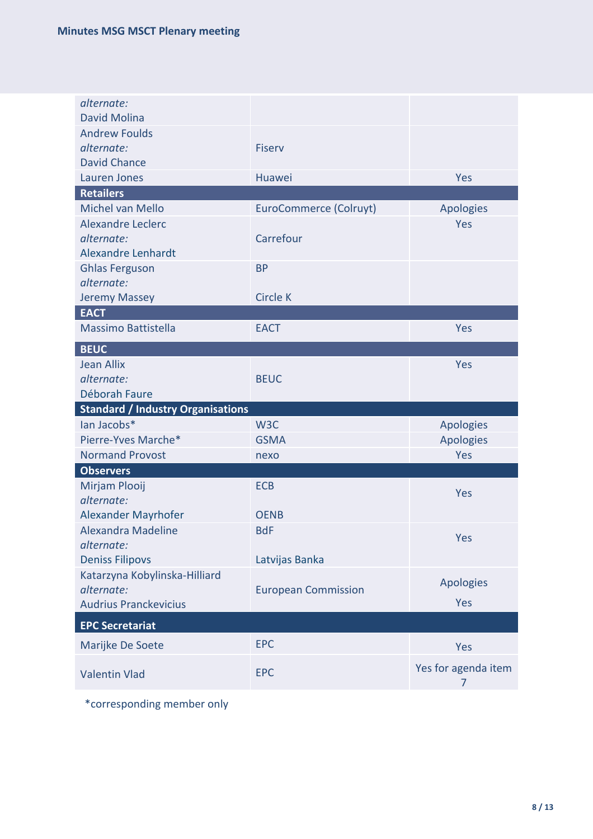| alternate:<br><b>David Molina</b>                         |                               |                          |
|-----------------------------------------------------------|-------------------------------|--------------------------|
| <b>Andrew Foulds</b>                                      |                               |                          |
| alternate:                                                | <b>Fiserv</b>                 |                          |
| <b>David Chance</b>                                       |                               |                          |
| Lauren Jones                                              | Huawei                        | Yes                      |
| <b>Retailers</b>                                          |                               |                          |
| Michel van Mello                                          | <b>EuroCommerce (Colruyt)</b> | <b>Apologies</b>         |
| <b>Alexandre Leclerc</b>                                  |                               | Yes                      |
| alternate:                                                | Carrefour                     |                          |
| <b>Alexandre Lenhardt</b>                                 |                               |                          |
| <b>Ghlas Ferguson</b>                                     | <b>BP</b>                     |                          |
| alternate:                                                |                               |                          |
| <b>Jeremy Massey</b><br><b>EACT</b>                       | <b>Circle K</b>               |                          |
| <b>Massimo Battistella</b>                                | <b>EACT</b>                   | Yes                      |
|                                                           |                               |                          |
| <b>BEUC</b>                                               |                               |                          |
| <b>Jean Allix</b>                                         |                               | Yes                      |
| alternate:                                                | <b>BEUC</b>                   |                          |
| Déborah Faure<br><b>Standard / Industry Organisations</b> |                               |                          |
| lan Jacobs*                                               | W <sub>3</sub> C              | <b>Apologies</b>         |
| Pierre-Yves Marche*                                       | <b>GSMA</b>                   | <b>Apologies</b>         |
| <b>Normand Provost</b>                                    | nexo                          | Yes                      |
| <b>Observers</b>                                          |                               |                          |
| Mirjam Plooij                                             | <b>ECB</b>                    |                          |
| alternate:                                                |                               | Yes                      |
| Alexander Mayrhofer                                       | <b>OENB</b>                   |                          |
| Alexandra Madeline                                        | <b>BdF</b>                    |                          |
| alternate:                                                |                               | Yes                      |
| <b>Deniss Filipovs</b>                                    | Latvijas Banka                |                          |
| Katarzyna Kobylinska-Hilliard                             |                               |                          |
| alternate:                                                | <b>European Commission</b>    | Apologies                |
| <b>Audrius Pranckevicius</b>                              |                               | Yes                      |
| <b>EPC Secretariat</b>                                    |                               |                          |
| Marijke De Soete                                          | <b>EPC</b>                    | Yes                      |
| <b>Valentin Vlad</b>                                      | <b>EPC</b>                    | Yes for agenda item<br>7 |

\*corresponding member only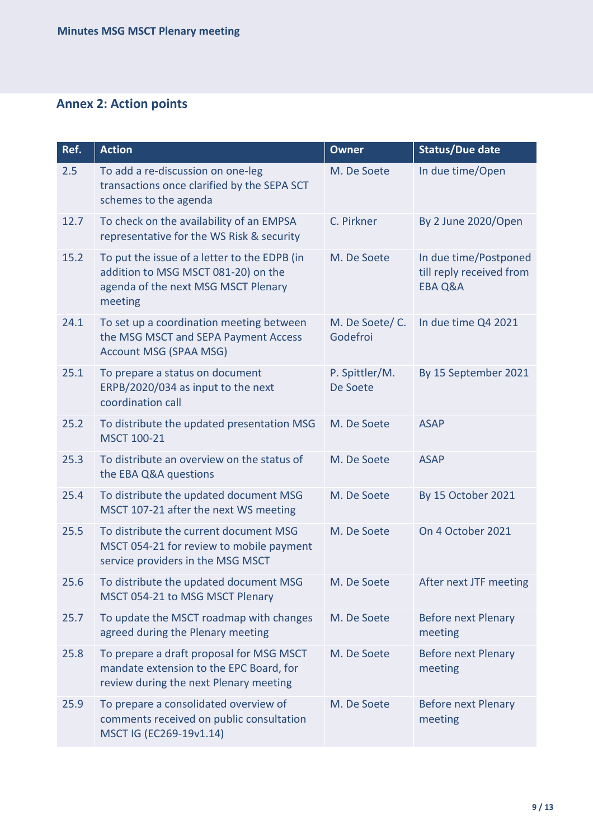## **Annex 2: Action points**

| Ref. | <b>Action</b>                                                                                                                         | <b>Owner</b>                | <b>Status/Due date</b>                                                  |
|------|---------------------------------------------------------------------------------------------------------------------------------------|-----------------------------|-------------------------------------------------------------------------|
| 2.5  | To add a re-discussion on one-leg<br>transactions once clarified by the SEPA SCT<br>schemes to the agenda                             | M. De Soete                 | In due time/Open                                                        |
| 12.7 | To check on the availability of an EMPSA<br>representative for the WS Risk & security                                                 | C. Pirkner                  | By 2 June 2020/Open                                                     |
| 15.2 | To put the issue of a letter to the EDPB (in<br>addition to MSG MSCT 081-20) on the<br>agenda of the next MSG MSCT Plenary<br>meeting | M. De Soete                 | In due time/Postponed<br>till reply received from<br><b>EBA Q&amp;A</b> |
| 24.1 | To set up a coordination meeting between<br>the MSG MSCT and SEPA Payment Access<br><b>Account MSG (SPAA MSG)</b>                     | M. De Soete/ C.<br>Godefroi | In due time Q4 2021                                                     |
| 25.1 | To prepare a status on document<br>ERPB/2020/034 as input to the next<br>coordination call                                            | P. Spittler/M.<br>De Soete  | By 15 September 2021                                                    |
| 25.2 | To distribute the updated presentation MSG<br>MSCT 100-21                                                                             | M. De Soete                 | <b>ASAP</b>                                                             |
| 25.3 | To distribute an overview on the status of<br>the EBA Q&A questions                                                                   | M. De Soete                 | <b>ASAP</b>                                                             |
| 25.4 | To distribute the updated document MSG<br>MSCT 107-21 after the next WS meeting                                                       | M. De Soete                 | By 15 October 2021                                                      |
| 25.5 | To distribute the current document MSG<br>MSCT 054-21 for review to mobile payment<br>service providers in the MSG MSCT               | M. De Soete                 | On 4 October 2021                                                       |
| 25.6 | To distribute the updated document MSG<br>MSCT 054-21 to MSG MSCT Plenary                                                             | M. De Soete                 | After next JTF meeting                                                  |
| 25.7 | To update the MSCT roadmap with changes<br>agreed during the Plenary meeting                                                          | M. De Soete                 | <b>Before next Plenary</b><br>meeting                                   |
| 25.8 | To prepare a draft proposal for MSG MSCT<br>mandate extension to the EPC Board, for<br>review during the next Plenary meeting         | M. De Soete                 | <b>Before next Plenary</b><br>meeting                                   |
| 25.9 | To prepare a consolidated overview of<br>comments received on public consultation<br>MSCT IG (EC269-19v1.14)                          | M. De Soete                 | <b>Before next Plenary</b><br>meeting                                   |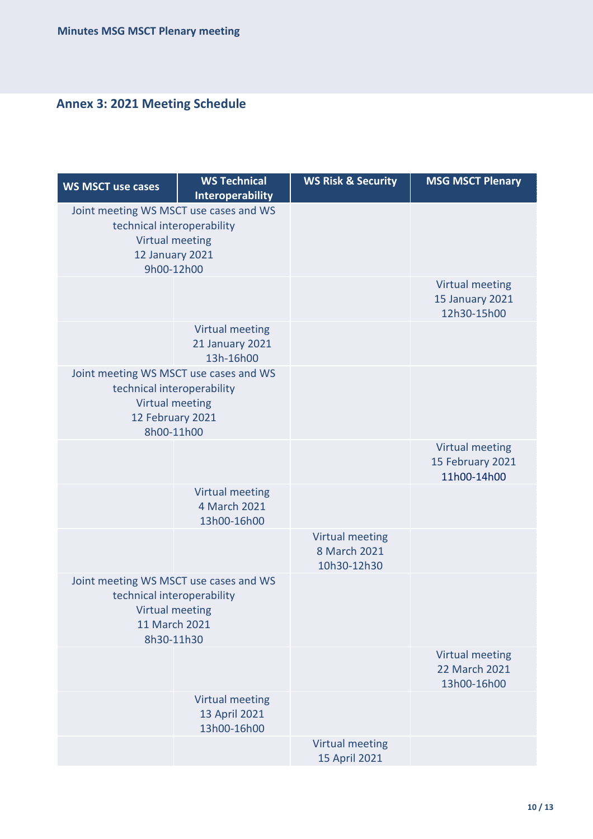# **Annex 3: 2021 Meeting Schedule**

| <b>WS MSCT use cases</b>                                                                                                         | <b>WS Technical</b><br><b>Interoperability</b>         | <b>WS Risk &amp; Security</b>                         | <b>MSG MSCT Plenary</b>                                         |
|----------------------------------------------------------------------------------------------------------------------------------|--------------------------------------------------------|-------------------------------------------------------|-----------------------------------------------------------------|
| Joint meeting WS MSCT use cases and WS<br>technical interoperability<br>Virtual meeting<br>12 January 2021<br>9h00-12h00         |                                                        |                                                       |                                                                 |
|                                                                                                                                  |                                                        |                                                       | <b>Virtual meeting</b><br><b>15 January 2021</b><br>12h30-15h00 |
|                                                                                                                                  | Virtual meeting<br><b>21 January 2021</b><br>13h-16h00 |                                                       |                                                                 |
| Joint meeting WS MSCT use cases and WS<br>technical interoperability<br><b>Virtual meeting</b><br>12 February 2021<br>8h00-11h00 |                                                        |                                                       |                                                                 |
|                                                                                                                                  |                                                        |                                                       | Virtual meeting<br>15 February 2021<br>11h00-14h00              |
|                                                                                                                                  | <b>Virtual meeting</b><br>4 March 2021<br>13h00-16h00  |                                                       |                                                                 |
|                                                                                                                                  |                                                        | <b>Virtual meeting</b><br>8 March 2021<br>10h30-12h30 |                                                                 |
| Joint meeting WS MSCT use cases and WS<br>technical interoperability<br><b>Virtual meeting</b><br>11 March 2021<br>8h30-11h30    |                                                        |                                                       |                                                                 |
|                                                                                                                                  |                                                        |                                                       | <b>Virtual meeting</b><br>22 March 2021<br>13h00-16h00          |
|                                                                                                                                  | <b>Virtual meeting</b><br>13 April 2021<br>13h00-16h00 |                                                       |                                                                 |
|                                                                                                                                  |                                                        | <b>Virtual meeting</b><br>15 April 2021               |                                                                 |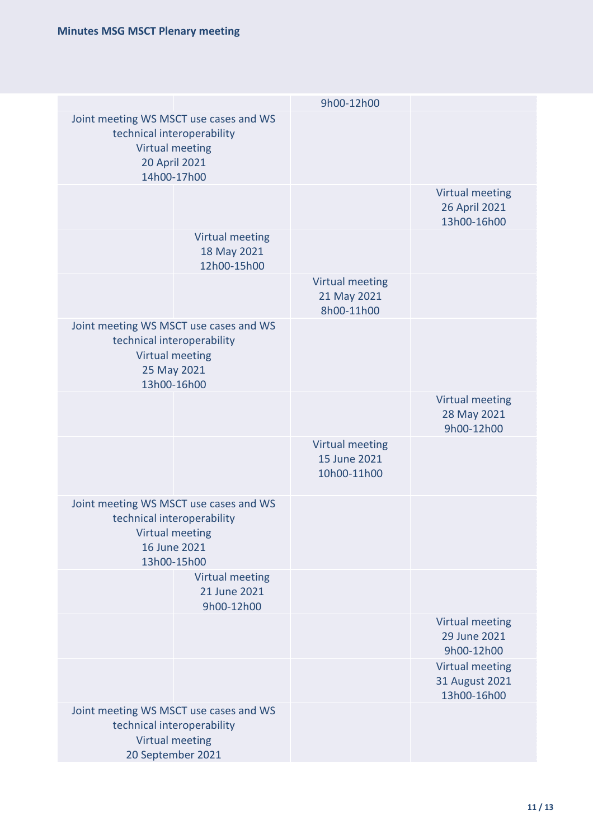|                                                                                                                                | 9h00-12h00                                     |                                                         |
|--------------------------------------------------------------------------------------------------------------------------------|------------------------------------------------|---------------------------------------------------------|
| Joint meeting WS MSCT use cases and WS<br>technical interoperability<br><b>Virtual meeting</b><br>20 April 2021<br>14h00-17h00 |                                                |                                                         |
|                                                                                                                                |                                                | <b>Virtual meeting</b><br>26 April 2021<br>13h00-16h00  |
| <b>Virtual meeting</b><br>18 May 2021<br>12h00-15h00                                                                           |                                                |                                                         |
|                                                                                                                                | Virtual meeting<br>21 May 2021<br>8h00-11h00   |                                                         |
| Joint meeting WS MSCT use cases and WS<br>technical interoperability<br><b>Virtual meeting</b><br>25 May 2021<br>13h00-16h00   |                                                |                                                         |
|                                                                                                                                |                                                | <b>Virtual meeting</b><br>28 May 2021<br>9h00-12h00     |
|                                                                                                                                | Virtual meeting<br>15 June 2021<br>10h00-11h00 |                                                         |
| Joint meeting WS MSCT use cases and WS<br>technical interoperability<br><b>Virtual meeting</b><br>16 June 2021<br>13h00-15h00  |                                                |                                                         |
| <b>Virtual meeting</b><br>21 June 2021<br>9h00-12h00                                                                           |                                                |                                                         |
|                                                                                                                                |                                                | Virtual meeting<br>29 June 2021<br>9h00-12h00           |
|                                                                                                                                |                                                | <b>Virtual meeting</b><br>31 August 2021<br>13h00-16h00 |
| Joint meeting WS MSCT use cases and WS<br>technical interoperability<br>Virtual meeting<br>20 September 2021                   |                                                |                                                         |